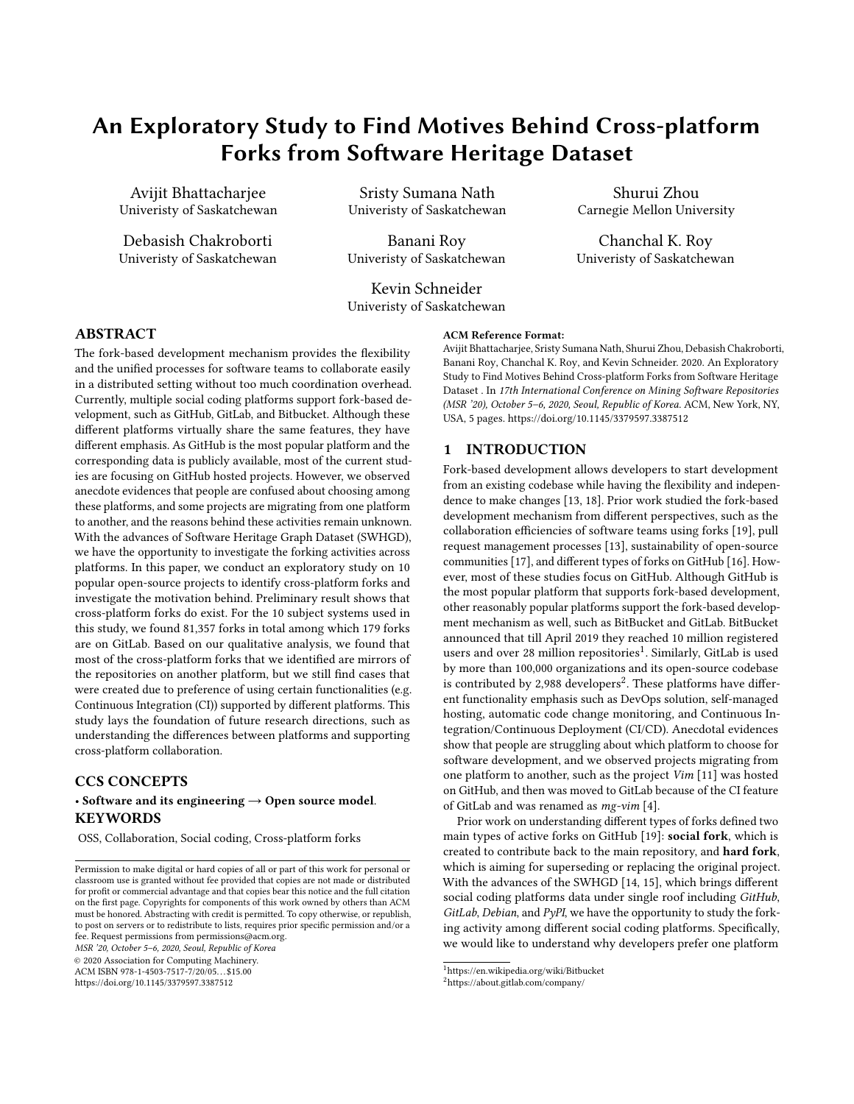# An Exploratory Study to Find Motives Behind Cross-platform Forks from Software Heritage Dataset

Avijit Bhattacharjee Univeristy of Saskatchewan

Debasish Chakroborti Univeristy of Saskatchewan

Sristy Sumana Nath Univeristy of Saskatchewan

Banani Roy Univeristy of Saskatchewan

Kevin Schneider Univeristy of Saskatchewan

#### ABSTRACT

The fork-based development mechanism provides the flexibility and the unified processes for software teams to collaborate easily in a distributed setting without too much coordination overhead. Currently, multiple social coding platforms support fork-based development, such as GitHub, GitLab, and Bitbucket. Although these different platforms virtually share the same features, they have different emphasis. As GitHub is the most popular platform and the corresponding data is publicly available, most of the current studies are focusing on GitHub hosted projects. However, we observed anecdote evidences that people are confused about choosing among these platforms, and some projects are migrating from one platform to another, and the reasons behind these activities remain unknown. With the advances of Software Heritage Graph Dataset (SWHGD), we have the opportunity to investigate the forking activities across platforms. In this paper, we conduct an exploratory study on 10 popular open-source projects to identify cross-platform forks and investigate the motivation behind. Preliminary result shows that cross-platform forks do exist. For the 10 subject systems used in this study, we found 81,357 forks in total among which 179 forks are on GitLab. Based on our qualitative analysis, we found that most of the cross-platform forks that we identified are mirrors of the repositories on another platform, but we still find cases that were created due to preference of using certain functionalities (e.g. Continuous Integration (CI)) supported by different platforms. This study lays the foundation of future research directions, such as understanding the differences between platforms and supporting cross-platform collaboration.

# CCS CONCEPTS

#### • Software and its engineering  $\rightarrow$  Open source model. **KEYWORDS**

OSS, Collaboration, Social coding, Cross-platform forks

MSR '20, October 5–6, 2020, Seoul, Republic of Korea

© 2020 Association for Computing Machinery.

ACM ISBN 978-1-4503-7517-7/20/05. . . \$15.00 <https://doi.org/10.1145/3379597.3387512>

# ACM Reference Format:

Avijit Bhattacharjee, Sristy Sumana Nath, Shurui Zhou, Debasish Chakroborti, Banani Roy, Chanchal K. Roy, and Kevin Schneider. 2020. An Exploratory Study to Find Motives Behind Cross-platform Forks from Software Heritage Dataset . In 17th International Conference on Mining Software Repositories (MSR '20), October 5–6, 2020, Seoul, Republic of Korea. ACM, New York, NY, USA, [5](#page-4-0) pages.<https://doi.org/10.1145/3379597.3387512>

Shurui Zhou Carnegie Mellon University

Chanchal K. Roy Univeristy of Saskatchewan

#### 1 INTRODUCTION

Fork-based development allows developers to start development from an existing codebase while having the flexibility and independence to make changes [\[13,](#page-4-1) [18\]](#page-4-2). Prior work studied the fork-based development mechanism from different perspectives, such as the collaboration efficiencies of software teams using forks [\[19\]](#page-4-3), pull request management processes [\[13\]](#page-4-1), sustainability of open-source communities [\[17\]](#page-4-4), and different types of forks on GitHub [\[16\]](#page-4-5). However, most of these studies focus on GitHub. Although GitHub is the most popular platform that supports fork-based development, other reasonably popular platforms support the fork-based development mechanism as well, such as BitBucket and GitLab. BitBucket announced that till April 2019 they reached 10 million registered users and over 28 million repositories<sup>[1](#page-0-0)</sup>. Similarly, GitLab is used by more than 100,000 organizations and its open-source codebase is contributed by [2](#page-0-1),988 developers<sup>2</sup>. These platforms have different functionality emphasis such as DevOps solution, self-managed hosting, automatic code change monitoring, and Continuous Integration/Continuous Deployment (CI/CD). Anecdotal evidences show that people are struggling about which platform to choose for software development, and we observed projects migrating from one platform to another, such as the project Vim [\[11\]](#page-4-6) was hosted on GitHub, and then was moved to GitLab because of the CI feature of GitLab and was renamed as mg-vim [\[4\]](#page-4-7).

Prior work on understanding different types of forks defined two main types of active forks on GitHub [\[19\]](#page-4-3): social fork, which is created to contribute back to the main repository, and hard fork, which is aiming for superseding or replacing the original project. With the advances of the SWHGD [\[14,](#page-4-8) [15\]](#page-4-9), which brings different social coding platforms data under single roof including GitHub, GitLab, Debian, and PyPI, we have the opportunity to study the forking activity among different social coding platforms. Specifically, we would like to understand why developers prefer one platform

Permission to make digital or hard copies of all or part of this work for personal or classroom use is granted without fee provided that copies are not made or distributed for profit or commercial advantage and that copies bear this notice and the full citation on the first page. Copyrights for components of this work owned by others than ACM must be honored. Abstracting with credit is permitted. To copy otherwise, or republish, to post on servers or to redistribute to lists, requires prior specific permission and/or a fee. Request permissions from permissions@acm.org.

<span id="page-0-0"></span> $^{\rm 1}$ https://en.wikipedia.org/wiki/Bitbucket

<span id="page-0-1"></span><sup>2</sup>https://about.gitlab.com/company/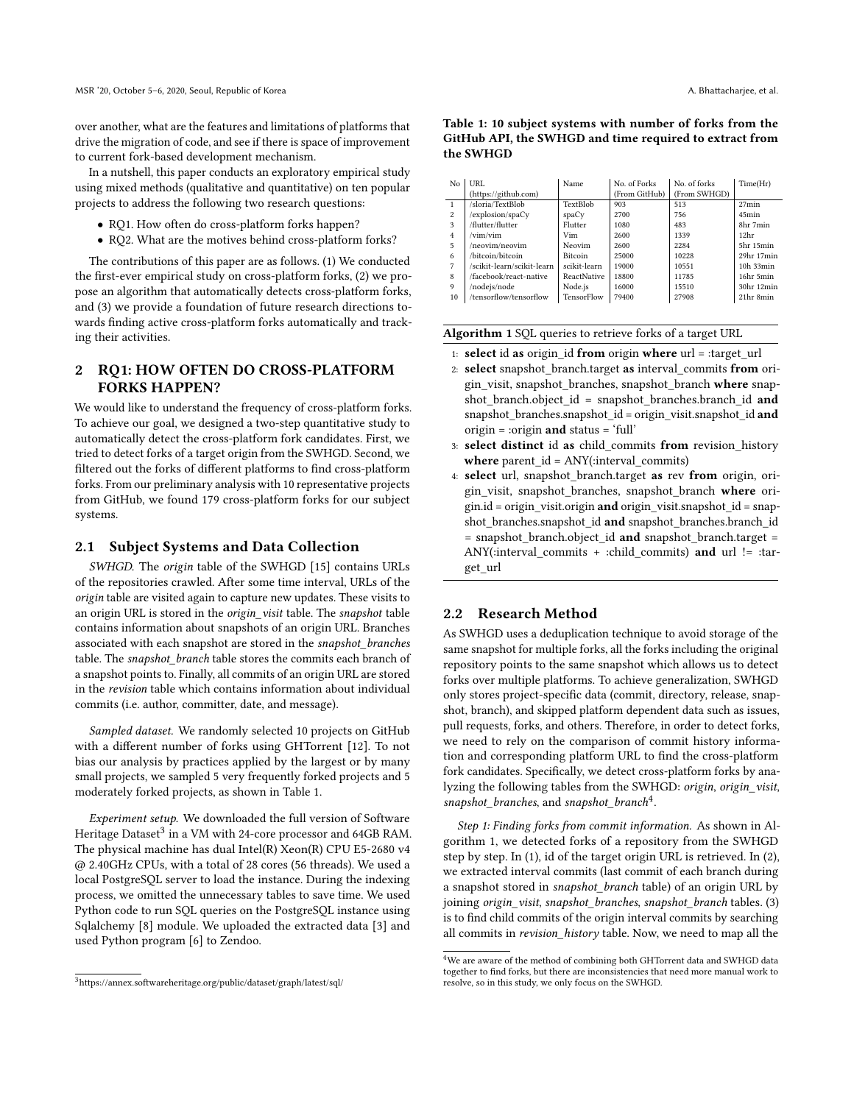over another, what are the features and limitations of platforms that drive the migration of code, and see if there is space of improvement to current fork-based development mechanism.

In a nutshell, this paper conducts an exploratory empirical study using mixed methods (qualitative and quantitative) on ten popular projects to address the following two research questions:

- RQ1. How often do cross-platform forks happen?
- RQ2. What are the motives behind cross-platform forks?

The contributions of this paper are as follows. (1) We conducted the first-ever empirical study on cross-platform forks, (2) we propose an algorithm that automatically detects cross-platform forks, and (3) we provide a foundation of future research directions towards finding active cross-platform forks automatically and tracking their activities.

# 2 RQ1: HOW OFTEN DO CROSS-PLATFORM FORKS HAPPEN?

We would like to understand the frequency of cross-platform forks. To achieve our goal, we designed a two-step quantitative study to automatically detect the cross-platform fork candidates. First, we tried to detect forks of a target origin from the SWHGD. Second, we filtered out the forks of different platforms to find cross-platform forks. From our preliminary analysis with 10 representative projects from GitHub, we found 179 cross-platform forks for our subject systems.

#### 2.1 Subject Systems and Data Collection

SWHGD. The origin table of the SWHGD [\[15\]](#page-4-9) contains URLs of the repositories crawled. After some time interval, URLs of the origin table are visited again to capture new updates. These visits to an origin URL is stored in the origin\_visit table. The snapshot table contains information about snapshots of an origin URL. Branches associated with each snapshot are stored in the snapshot\_branches table. The snapshot branch table stores the commits each branch of a snapshot points to. Finally, all commits of an origin URL are stored in the revision table which contains information about individual commits (i.e. author, committer, date, and message).

Sampled dataset. We randomly selected 10 projects on GitHub with a different number of forks using GHTorrent [\[12\]](#page-4-10). To not bias our analysis by practices applied by the largest or by many small projects, we sampled 5 very frequently forked projects and 5 moderately forked projects, as shown in Table [1.](#page-1-0)

Experiment setup. We downloaded the full version of Software Heritage Dataset $^3$  $^3$  in a VM with 24-core processor and 64GB RAM. The physical machine has dual Intel(R) Xeon(R) CPU E5-2680 v4 @ 2.40GHz CPUs, with a total of 28 cores (56 threads). We used a local PostgreSQL server to load the instance. During the indexing process, we omitted the unnecessary tables to save time. We used Python code to run SQL queries on the PostgreSQL instance using Sqlalchemy [\[8\]](#page-4-11) module. We uploaded the extracted data [\[3\]](#page-4-12) and used Python program [\[6\]](#page-4-13) to Zendoo.

<span id="page-1-5"></span>

| No             | URL                        | Name               | No. of Forks  | No. of forks | Time(Hr)         |
|----------------|----------------------------|--------------------|---------------|--------------|------------------|
|                | (https://github.com)       |                    | (From GitHub) | (From SWHGD) |                  |
| $\overline{1}$ | /sloria/TextBlob           | TextBlob           | 903           | 513          | 27min            |
| 2              | /explosion/spaCy           | spaCv              | 2700          | 756          | 45min            |
| 3              | /flutter/flutter           | Flutter            | 1080          | 483          | 8hr 7min         |
| $\overline{4}$ | /vim/vim                   | Vim                | 2600          | 1339         | 12 <sup>hr</sup> |
| 5              | /neovim/neovim             | Neovim             | 2600          | 2284         | 5hr 15min        |
| 6              | /bitcoin/bitcoin           | <b>Bitcoin</b>     | 25000         | 10228        | 29hr 17min       |
| $\overline{7}$ | /scikit-learn/scikit-learn | scikit-learn       | 19000         | 10551        | 10h 33min        |
| 8              | /facebook/react-native     | <b>ReactNative</b> | 18800         | 11785        | 16hr 5min        |
| $\mathbf Q$    | /nodejs/node               | Node.js            | 16000         | 15510        | 30hr 12min       |
| 10             | /tensorflow/tensorflow     | TensorFlow         | 79400         | 27908        | 21hr 8min        |

<span id="page-1-0"></span>Table 1: 10 subject systems with number of forks from the GitHub API, the SWHGD and time required to extract from the SWHGD

<span id="page-1-3"></span>

| Algorithm 1 SQL queries to retrieve forks of a target URL |  |  |  |
|-----------------------------------------------------------|--|--|--|
|                                                           |  |  |  |

- <span id="page-1-4"></span>1: select id as origin\_id from origin where url = :target\_url
- 2: select snapshot\_branch.target as interval\_commits from origin\_visit, snapshot\_branches, snapshot\_branch where snapshot\_branch.object\_id = snapshot\_branches.branch\_id and snapshot\_branches.snapshot\_id = origin\_visit.snapshot\_id and origin = :origin and status = 'full'
- <span id="page-1-7"></span><span id="page-1-6"></span>3: select distinct id as child\_commits from revision\_history where parent\_id =  $\text{ANY}$ :interval\_commits)
- 4: select url, snapshot\_branch.target as rev from origin, origin\_visit, snapshot\_branches, snapshot\_branch where origin.id = origin\_visit.origin and origin\_visit.snapshot\_id = snapshot\_branches.snapshot\_id and snapshot\_branches.branch\_id = snapshot\_branch.object\_id and snapshot\_branch.target = ANY(:interval commits + :child commits) and url  $!=$  :target\_url

#### 2.2 Research Method

As SWHGD uses a deduplication technique to avoid storage of the same snapshot for multiple forks, all the forks including the original repository points to the same snapshot which allows us to detect forks over multiple platforms. To achieve generalization, SWHGD only stores project-specific data (commit, directory, release, snapshot, branch), and skipped platform dependent data such as issues, pull requests, forks, and others. Therefore, in order to detect forks, we need to rely on the comparison of commit history information and corresponding platform URL to find the cross-platform fork candidates. Specifically, we detect cross-platform forks by analyzing the following tables from the SWHGD: origin, origin\_visit, snapshot\_branches, and snapshot\_branch<sup>[4](#page-1-2)</sup>.

Step 1: Finding forks from commit information. As shown in Algorithm [1,](#page-1-3) we detected forks of a repository from the SWHGD step by step. In [\(1\)](#page-1-4), id of the target origin URL is retrieved. In [\(2\)](#page-1-5), we extracted interval commits (last commit of each branch during a snapshot stored in *snapshot* branch table) of an origin URL by joining origin\_visit, snapshot\_branches, snapshot\_branch tables. [\(3\)](#page-1-6) is to find child commits of the origin interval commits by searching all commits in revision\_history table. Now, we need to map all the

<span id="page-1-1"></span><sup>3</sup>https://annex.softwareheritage.org/public/dataset/graph/latest/sql/

<span id="page-1-2"></span> ${}^{4}\mathrm{We}$  are aware of the method of combining both GHTorrent data and SWHGD data together to find forks, but there are inconsistencies that need more manual work to resolve, so in this study, we only focus on the SWHGD.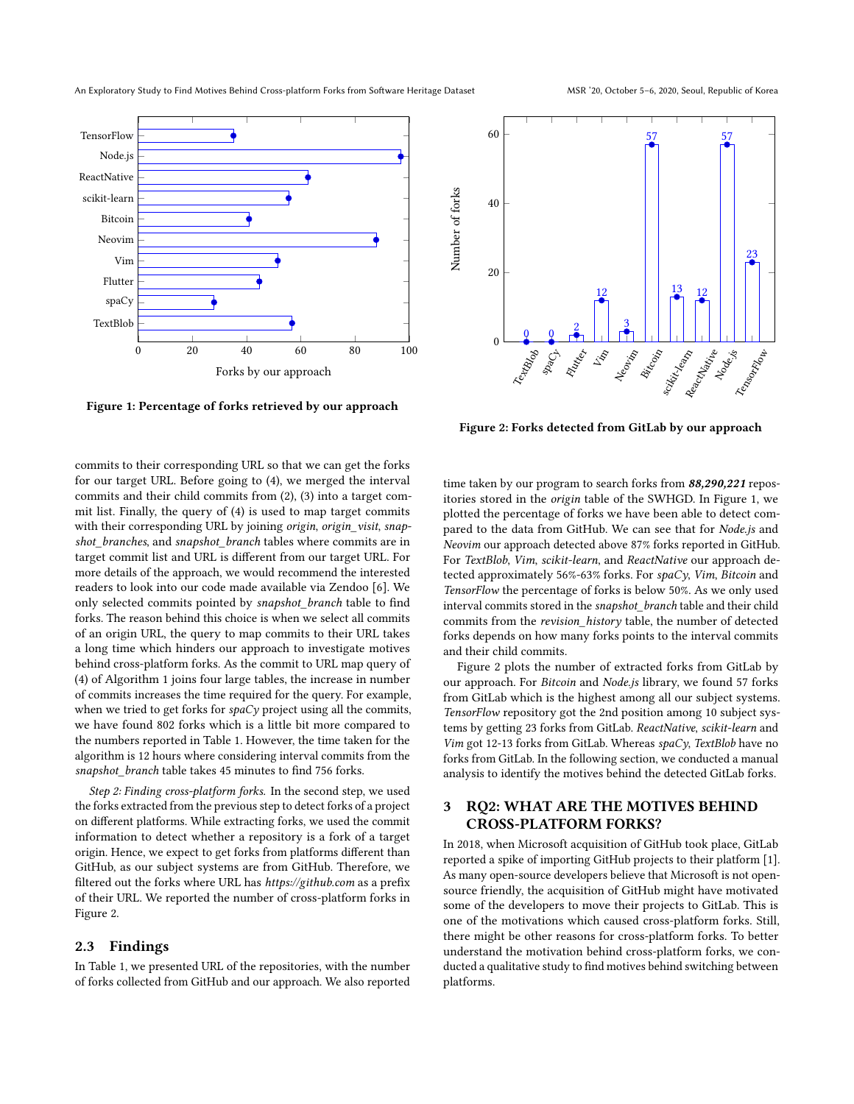<span id="page-2-1"></span>

Figure 1: Percentage of forks retrieved by our approach

commits to their corresponding URL so that we can get the forks for our target URL. Before going to [\(4\)](#page-1-7), we merged the interval commits and their child commits from [\(2\)](#page-1-5), [\(3\)](#page-1-6) into a target commit list. Finally, the query of [\(4\)](#page-1-7) is used to map target commits with their corresponding URL by joining origin, origin\_visit, snapshot branches, and snapshot branch tables where commits are in target commit list and URL is different from our target URL. For more details of the approach, we would recommend the interested readers to look into our code made available via Zendoo [\[6\]](#page-4-13). We only selected commits pointed by snapshot\_branch table to find forks. The reason behind this choice is when we select all commits of an origin URL, the query to map commits to their URL takes a long time which hinders our approach to investigate motives behind cross-platform forks. As the commit to URL map query of [\(4\)](#page-1-7) of Algorithm [1](#page-1-3) joins four large tables, the increase in number of commits increases the time required for the query. For example, when we tried to get forks for  $spaCy$  project using all the commits, we have found 802 forks which is a little bit more compared to the numbers reported in Table [1.](#page-1-0) However, the time taken for the algorithm is 12 hours where considering interval commits from the snapshot\_branch table takes 45 minutes to find 756 forks.

Step 2: Finding cross-platform forks. In the second step, we used the forks extracted from the previous step to detect forks of a project on different platforms. While extracting forks, we used the commit information to detect whether a repository is a fork of a target origin. Hence, we expect to get forks from platforms different than GitHub, as our subject systems are from GitHub. Therefore, we filtered out the forks where URL has https://github.com as a prefix of their URL. We reported the number of cross-platform forks in Figure [2.](#page-2-0)

#### 2.3 Findings

In Table [1,](#page-1-0) we presented URL of the repositories, with the number of forks collected from GitHub and our approach. We also reported

<span id="page-2-0"></span>

Figure 2: Forks detected from GitLab by our approach

time taken by our program to search forks from 88,290,221 repositories stored in the origin table of the SWHGD. In Figure [1,](#page-2-1) we plotted the percentage of forks we have been able to detect compared to the data from GitHub. We can see that for Node.js and Neovim our approach detected above 87% forks reported in GitHub. For TextBlob, Vim, scikit-learn, and ReactNative our approach detected approximately 56%-63% forks. For spaCy, Vim, Bitcoin and TensorFlow the percentage of forks is below 50%. As we only used interval commits stored in the snapshot\_branch table and their child commits from the revision\_history table, the number of detected forks depends on how many forks points to the interval commits and their child commits.

Figure [2](#page-2-0) plots the number of extracted forks from GitLab by our approach. For Bitcoin and Node.js library, we found 57 forks from GitLab which is the highest among all our subject systems. TensorFlow repository got the 2nd position among 10 subject systems by getting 23 forks from GitLab. ReactNative, scikit-learn and Vim got 12-13 forks from GitLab. Whereas  $\textit{spaCy}$ , TextBlob have no forks from GitLab. In the following section, we conducted a manual analysis to identify the motives behind the detected GitLab forks.

### 3 RQ2: WHAT ARE THE MOTIVES BEHIND CROSS-PLATFORM FORKS?

In 2018, when Microsoft acquisition of GitHub took place, GitLab reported a spike of importing GitHub projects to their platform [\[1\]](#page-4-14). As many open-source developers believe that Microsoft is not opensource friendly, the acquisition of GitHub might have motivated some of the developers to move their projects to GitLab. This is one of the motivations which caused cross-platform forks. Still, there might be other reasons for cross-platform forks. To better understand the motivation behind cross-platform forks, we conducted a qualitative study to find motives behind switching between platforms.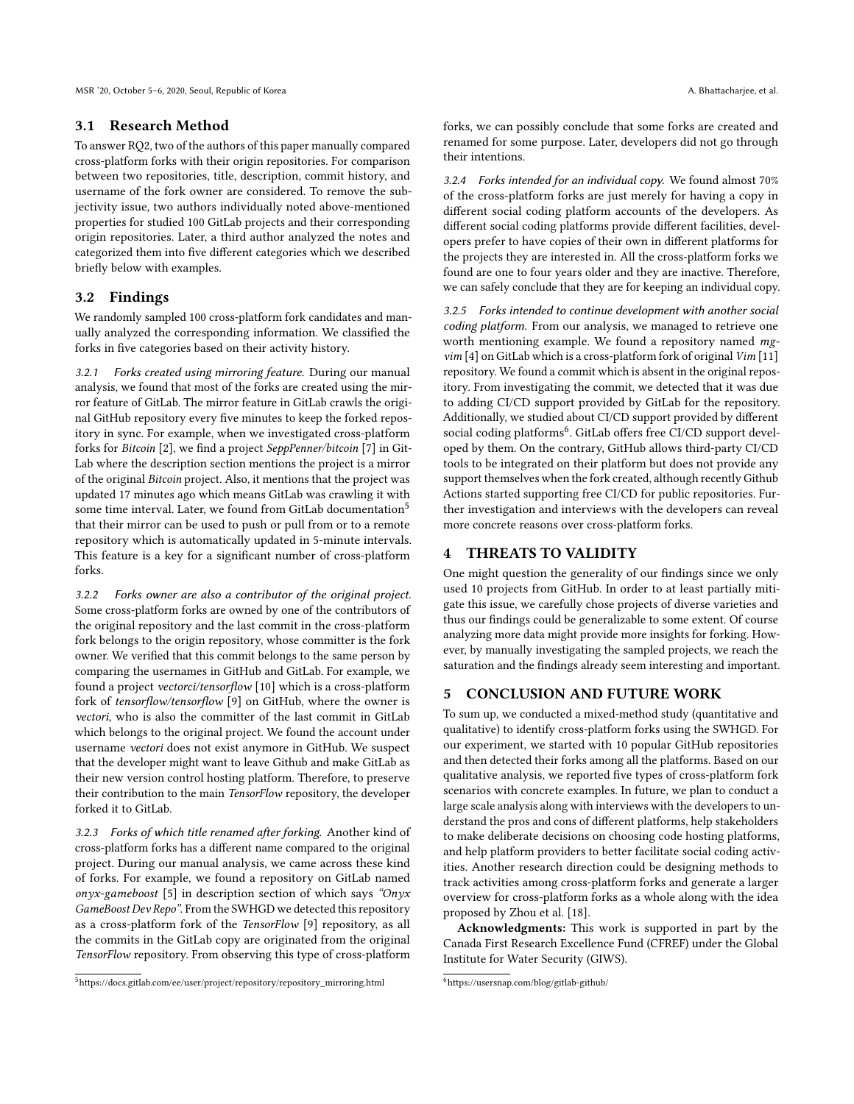#### 3.1 Research Method

To answer RQ2, two of the authors of this paper manually compared cross-platform forks with their origin repositories. For comparison between two repositories, title, description, commit history, and username of the fork owner are considered. To remove the subjectivity issue, two authors individually noted above-mentioned properties for studied 100 GitLab projects and their corresponding origin repositories. Later, a third author analyzed the notes and categorized them into five different categories which we described briefly below with examples.

#### 3.2 Findings

We randomly sampled 100 cross-platform fork candidates and manually analyzed the corresponding information. We classified the forks in five categories based on their activity history.

3.2.1 Forks created using mirroring feature. During our manual analysis, we found that most of the forks are created using the mirror feature of GitLab. The mirror feature in GitLab crawls the original GitHub repository every five minutes to keep the forked repository in sync. For example, when we investigated cross-platform forks for Bitcoin [\[2\]](#page-4-15), we find a project SeppPenner/bitcoin [\[7\]](#page-4-16) in Git-Lab where the description section mentions the project is a mirror of the original Bitcoin project. Also, it mentions that the project was updated 17 minutes ago which means GitLab was crawling it with some time interval. Later, we found from GitLab documentation<sup>[5](#page-3-0)</sup> that their mirror can be used to push or pull from or to a remote repository which is automatically updated in 5-minute intervals. This feature is a key for a significant number of cross-platform forks.

3.2.2 Forks owner are also a contributor of the original project. Some cross-platform forks are owned by one of the contributors of the original repository and the last commit in the cross-platform fork belongs to the origin repository, whose committer is the fork owner. We verified that this commit belongs to the same person by comparing the usernames in GitHub and GitLab. For example, we found a project vectorci/tensorflow [\[10\]](#page-4-17) which is a cross-platform fork of tensorflow/tensorflow [\[9\]](#page-4-18) on GitHub, where the owner is vectori, who is also the committer of the last commit in GitLab which belongs to the original project. We found the account under username vectori does not exist anymore in GitHub. We suspect that the developer might want to leave Github and make GitLab as their new version control hosting platform. Therefore, to preserve their contribution to the main TensorFlow repository, the developer forked it to GitLab.

3.2.3 Forks of which title renamed after forking. Another kind of cross-platform forks has a different name compared to the original project. During our manual analysis, we came across these kind of forks. For example, we found a repository on GitLab named onyx-gameboost [\[5\]](#page-4-19) in description section of which says "Onyx" GameBoost Dev Repo". From the SWHGD we detected this repository as a cross-platform fork of the TensorFlow [\[9\]](#page-4-18) repository, as all the commits in the GitLab copy are originated from the original TensorFlow repository. From observing this type of cross-platform

<span id="page-3-0"></span><sup>5</sup>https://docs.gitlab.com/ee/user/project/repository/repository\_mirroring.html

forks, we can possibly conclude that some forks are created and renamed for some purpose. Later, developers did not go through their intentions.

3.2.4 Forks intended for an individual copy. We found almost 70% of the cross-platform forks are just merely for having a copy in different social coding platform accounts of the developers. As different social coding platforms provide different facilities, developers prefer to have copies of their own in different platforms for the projects they are interested in. All the cross-platform forks we found are one to four years older and they are inactive. Therefore, we can safely conclude that they are for keeping an individual copy.

3.2.5 Forks intended to continue development with another social coding platform. From our analysis, we managed to retrieve one worth mentioning example. We found a repository named mg- $\lim$  [\[4\]](#page-4-7) on GitLab which is a cross-platform fork of original  $\lim$  [\[11\]](#page-4-6) repository. We found a commit which is absent in the original repository. From investigating the commit, we detected that it was due to adding CI/CD support provided by GitLab for the repository. Additionally, we studied about CI/CD support provided by different social coding platforms<sup>[6](#page-3-1)</sup>. GitLab offers free CI/CD support developed by them. On the contrary, GitHub allows third-party CI/CD tools to be integrated on their platform but does not provide any support themselves when the fork created, although recently Github Actions started supporting free CI/CD for public repositories. Further investigation and interviews with the developers can reveal more concrete reasons over cross-platform forks.

#### 4 THREATS TO VALIDITY

One might question the generality of our findings since we only used 10 projects from GitHub. In order to at least partially mitigate this issue, we carefully chose projects of diverse varieties and thus our findings could be generalizable to some extent. Of course analyzing more data might provide more insights for forking. However, by manually investigating the sampled projects, we reach the saturation and the findings already seem interesting and important.

#### 5 CONCLUSION AND FUTURE WORK

To sum up, we conducted a mixed-method study (quantitative and qualitative) to identify cross-platform forks using the SWHGD. For our experiment, we started with 10 popular GitHub repositories and then detected their forks among all the platforms. Based on our qualitative analysis, we reported five types of cross-platform fork scenarios with concrete examples. In future, we plan to conduct a large scale analysis along with interviews with the developers to understand the pros and cons of different platforms, help stakeholders to make deliberate decisions on choosing code hosting platforms, and help platform providers to better facilitate social coding activities. Another research direction could be designing methods to track activities among cross-platform forks and generate a larger overview for cross-platform forks as a whole along with the idea proposed by Zhou et al. [\[18\]](#page-4-2).

Acknowledgments: This work is supported in part by the Canada First Research Excellence Fund (CFREF) under the Global Institute for Water Security (GIWS).

<span id="page-3-1"></span><sup>6</sup>https://usersnap.com/blog/gitlab-github/